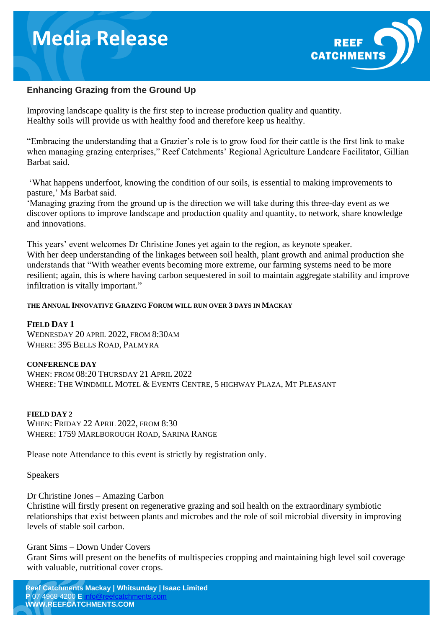## **Media Release**



### **Enhancing Grazing from the Ground Up**

Improving landscape quality is the first step to increase production quality and quantity. Healthy soils will provide us with healthy food and therefore keep us healthy.

"Embracing the understanding that a Grazier's role is to grow food for their cattle is the first link to make when managing grazing enterprises," Reef Catchments' Regional Agriculture Landcare Facilitator, Gillian Barbat said.

'What happens underfoot, knowing the condition of our soils, is essential to making improvements to pasture,' Ms Barbat said.

'Managing grazing from the ground up is the direction we will take during this three-day event as we discover options to improve landscape and production quality and quantity, to network, share knowledge and innovations.

This years' event welcomes Dr Christine Jones yet again to the region, as keynote speaker. With her deep understanding of the linkages between soil health, plant growth and animal production she understands that "With weather events becoming more extreme, our farming systems need to be more resilient; again, this is where having carbon sequestered in soil to maintain aggregate stability and improve infiltration is vitally important."

#### **THE ANNUAL INNOVATIVE GRAZING FORUM WILL RUN OVER 3 DAYS IN MACKAY**

#### **FIELD DAY 1**

WEDNESDAY 20 APRIL 2022, FROM 8:30AM WHERE: 395 BELLS ROAD, PALMYRA

#### **CONFERENCE DAY**

WHEN: FROM 08:20 THURSDAY 21 APRIL 2022 WHERE: THE WINDMILL MOTEL & EVENTS CENTRE, 5 HIGHWAY PLAZA, MT PLEASANT

#### **FIELD DAY 2**

WHEN: FRIDAY 22 APRIL 2022, FROM 8:30 WHERE: 1759 MARLBOROUGH ROAD, SARINA RANGE

Please note Attendance to this event is strictly by registration only.

#### Speakers

Dr Christine Jones – Amazing Carbon

Christine will firstly present on regenerative grazing and soil health on the extraordinary symbiotic relationships that exist between plants and microbes and the role of soil microbial diversity in improving levels of stable soil carbon.

#### Grant Sims – Down Under Covers

Grant Sims will present on the benefits of multispecies cropping and maintaining high level soil coverage with valuable, nutritional cover crops.